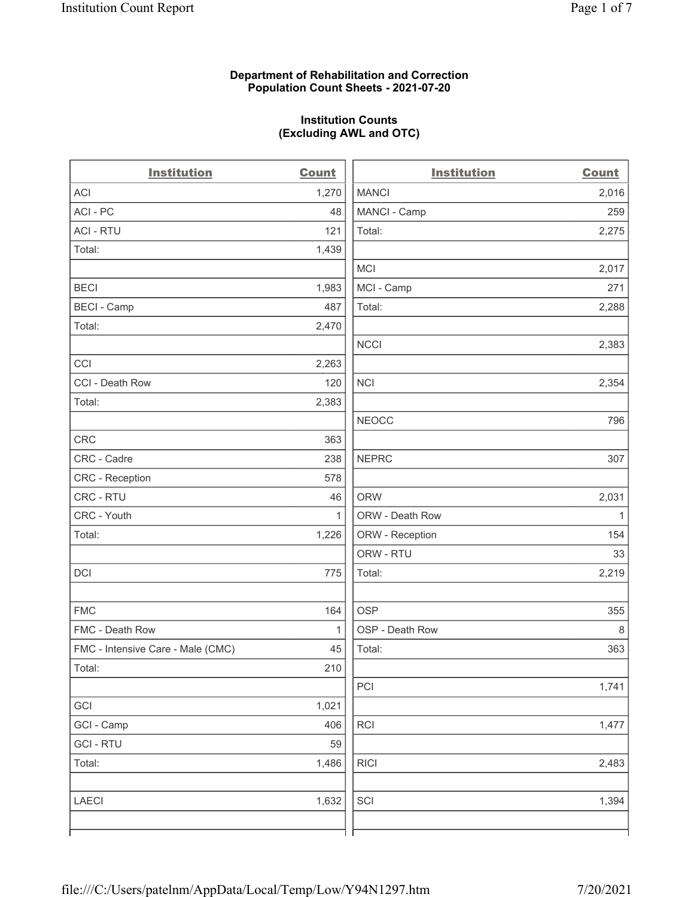#### Department of Rehabilitation and Correction Population Count Sheets - 2021-07-20

#### Institution Counts (Excluding AWL and OTC)

 $\overline{a}$ 

| <b>Institution</b>                | <b>Count</b> | <b>Institution</b> | <b>Count</b> |
|-----------------------------------|--------------|--------------------|--------------|
| <b>ACI</b>                        | 1,270        | <b>MANCI</b>       | 2,016        |
| ACI-PC                            | 48           | MANCI - Camp       | 259          |
| <b>ACI - RTU</b>                  | 121          | Total:             | 2,275        |
| Total:                            | 1,439        |                    |              |
|                                   |              | MCI                | 2,017        |
| <b>BECI</b>                       | 1,983        | MCI - Camp         | 271          |
| <b>BECI - Camp</b>                | 487          | Total:             | 2,288        |
| Total:                            | 2,470        |                    |              |
|                                   |              | <b>NCCI</b>        | 2,383        |
| CCI                               | 2,263        |                    |              |
| CCI - Death Row                   | 120          | <b>NCI</b>         | 2,354        |
| Total:                            | 2,383        |                    |              |
|                                   |              | <b>NEOCC</b>       | 796          |
| CRC                               | 363          |                    |              |
| CRC - Cadre                       | 238          | <b>NEPRC</b>       | 307          |
| CRC - Reception                   | 578          |                    |              |
| CRC - RTU                         | 46           | <b>ORW</b>         | 2,031        |
| CRC - Youth                       | $\mathbf{1}$ | ORW - Death Row    | $\mathbf{1}$ |
| Total:                            | 1,226        | ORW - Reception    | 154          |
|                                   |              | ORW - RTU          | 33           |
| DCI                               | 775          | Total:             | 2,219        |
| <b>FMC</b>                        | 164          | <b>OSP</b>         | 355          |
| FMC - Death Row                   | $\mathbf{1}$ | OSP - Death Row    | $\,8\,$      |
| FMC - Intensive Care - Male (CMC) | 45           | Total:             | 363          |
| Total:                            | 210          |                    |              |
|                                   |              | PCI                | 1,741        |
| GCI                               | 1,021        |                    |              |
| GCI - Camp                        | 406          | <b>RCI</b>         | 1,477        |
| <b>GCI-RTU</b>                    | 59           |                    |              |
| Total:                            | 1,486        | <b>RICI</b>        | 2,483        |
| <b>LAECI</b>                      | 1,632        | SCI                | 1,394        |
|                                   |              |                    |              |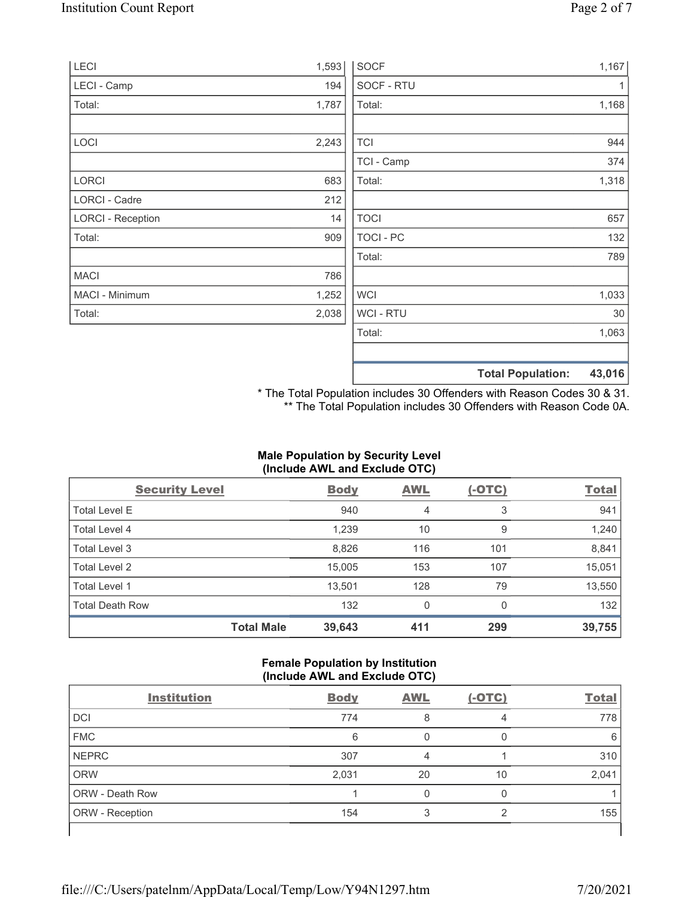| LECI                     | 1,593 | <b>SOCF</b>      |                          | 1,167  |
|--------------------------|-------|------------------|--------------------------|--------|
| LECI - Camp              | 194   | SOCF - RTU       |                          |        |
| Total:                   | 1,787 | Total:           |                          | 1,168  |
| LOCI                     | 2,243 | <b>TCI</b>       |                          | 944    |
|                          |       | TCI - Camp       |                          | 374    |
| <b>LORCI</b>             | 683   | Total:           |                          | 1,318  |
| LORCI - Cadre            | 212   |                  |                          |        |
| <b>LORCI - Reception</b> | 14    | <b>TOCI</b>      |                          | 657    |
| Total:                   | 909   | <b>TOCI - PC</b> |                          | 132    |
|                          |       | Total:           |                          | 789    |
| <b>MACI</b>              | 786   |                  |                          |        |
| MACI - Minimum           | 1,252 | <b>WCI</b>       |                          | 1,033  |
| Total:                   | 2,038 | WCI - RTU        |                          | 30     |
|                          |       | Total:           |                          | 1,063  |
|                          |       |                  | <b>Total Population:</b> | 43,016 |

\* The Total Population includes 30 Offenders with Reason Codes 30 & 31. \*\* The Total Population includes 30 Offenders with Reason Code 0A.

# Male Population by Security Level (Include AWL and Exclude OTC)

| <b>Security Level</b>  |                   | <b>Body</b> | <b>AWL</b> | $(-OTC)$ | <b>Total</b> |
|------------------------|-------------------|-------------|------------|----------|--------------|
| <b>Total Level E</b>   |                   | 940         | 4          | 3        | 941          |
| Total Level 4          |                   | 1,239       | 10         | 9        | 1,240        |
| Total Level 3          |                   | 8,826       | 116        | 101      | 8,841        |
| Total Level 2          |                   | 15,005      | 153        | 107      | 15,051       |
| Total Level 1          |                   | 13,501      | 128        | 79       | 13,550       |
| <b>Total Death Row</b> |                   | 132         | 0          | $\Omega$ | 132          |
|                        | <b>Total Male</b> | 39,643      | 411        | 299      | 39,755       |

#### Female Population by Institution (Include AWL and Exclude OTC)

| <b>Institution</b>     | <b>Body</b> | <b>AWL</b> | $(-OTC)$ | <b>Total</b> |
|------------------------|-------------|------------|----------|--------------|
| <b>DCI</b>             | 774         | 8          | 4        | 778          |
| <b>FMC</b>             | 6           |            |          | 6            |
| <b>NEPRC</b>           | 307         | 4          |          | 310          |
| <b>ORW</b>             | 2,031       | 20         | 10       | 2,041        |
| <b>ORW - Death Row</b> |             |            |          |              |
| ORW - Reception        | 154         |            | ◠        | 155          |
|                        |             |            |          |              |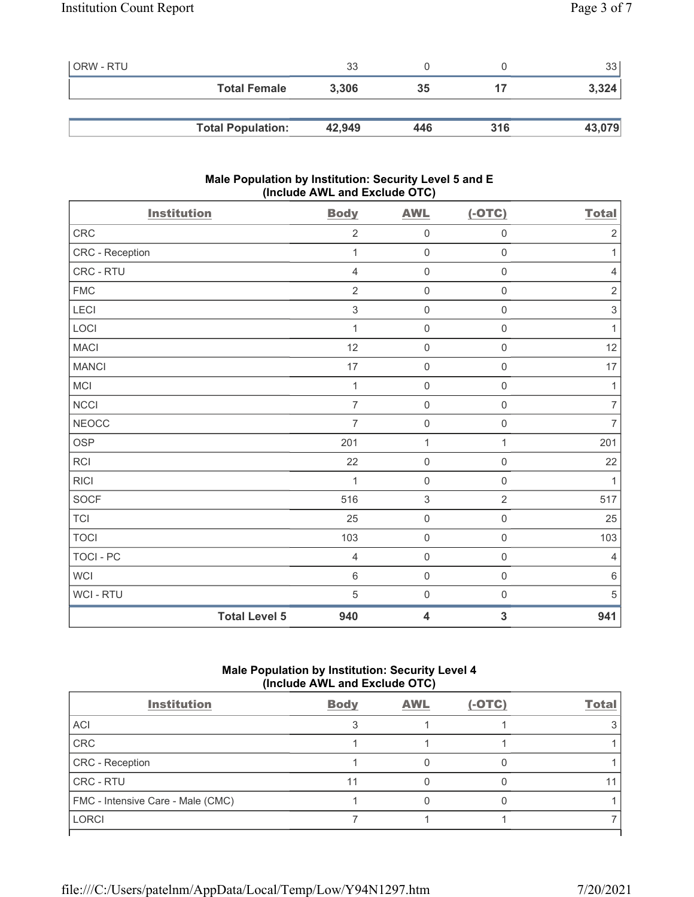| <b>ORW - RTU</b> |                          | 33     |     |     | 33 <sub>1</sub> |
|------------------|--------------------------|--------|-----|-----|-----------------|
|                  | <b>Total Female</b>      | 3,306  | 35  |     | 3,324           |
|                  |                          |        |     |     |                 |
|                  | <b>Total Population:</b> | 42,949 | 446 | 316 | 43,079          |

## Male Population by Institution: Security Level 5 and E (Include AWL and Exclude OTC)

| <b>Institution</b>   | <b>Body</b>    | <b>AWL</b>                | $(-OTC)$            | <b>Total</b>              |
|----------------------|----------------|---------------------------|---------------------|---------------------------|
| CRC                  | $\sqrt{2}$     | $\mathsf 0$               | $\mathsf 0$         | $\sqrt{2}$                |
| CRC - Reception      | 1              | $\mathbf 0$               | $\mathbf 0$         | $\mathbf{1}$              |
| CRC - RTU            | $\overline{4}$ | $\mathsf 0$               | $\mathsf 0$         | $\sqrt{4}$                |
| ${\sf FMC}$          | $\overline{2}$ | $\mathbf 0$               | $\mathsf 0$         | $\sqrt{2}$                |
| LECI                 | $\sqrt{3}$     | $\mathbf 0$               | $\mathbf 0$         | $\ensuremath{\mathsf{3}}$ |
| LOCI                 | 1              | $\mathsf{O}\xspace$       | $\mathsf{O}\xspace$ | $\mathbf{1}$              |
| <b>MACI</b>          | 12             | $\mathbf 0$               | $\mathsf{O}\xspace$ | 12                        |
| <b>MANCI</b>         | 17             | $\mathbf 0$               | $\mathsf{O}\xspace$ | 17                        |
| <b>MCI</b>           | $\mathbf{1}$   | $\mathsf 0$               | $\mathsf 0$         | $\mathbf{1}$              |
| NCCI                 | $\overline{7}$ | $\mathbf 0$               | $\mathsf 0$         | $\boldsymbol{7}$          |
| <b>NEOCC</b>         | $\overline{7}$ | $\mathbf 0$               | $\mathsf{O}\xspace$ | $\overline{7}$            |
| <b>OSP</b>           | 201            | $\mathbf{1}$              | $\mathbf{1}$        | 201                       |
| <b>RCI</b>           | 22             | $\mathbf 0$               | $\mathsf{O}\xspace$ | 22                        |
| <b>RICI</b>          | 1              | $\mathbf 0$               | $\mathbf 0$         | $\mathbf{1}$              |
| <b>SOCF</b>          | 516            | $\ensuremath{\mathsf{3}}$ | $\overline{2}$      | 517                       |
| <b>TCI</b>           | 25             | $\mathsf{O}\xspace$       | $\mathsf{O}\xspace$ | 25                        |
| <b>TOCI</b>          | 103            | $\mathbf 0$               | $\mathbf 0$         | 103                       |
| <b>TOCI - PC</b>     | $\overline{4}$ | $\mathbf 0$               | $\mathsf{O}\xspace$ | $\overline{4}$            |
| <b>WCI</b>           | $\,6\,$        | $\mathsf{O}\xspace$       | $\mathsf{O}\xspace$ | $\,6\,$                   |
| WCI - RTU            | 5              | $\mathbf 0$               | $\mathbf 0$         | $\sqrt{5}$                |
| <b>Total Level 5</b> | 940            | $\overline{\mathbf{4}}$   | 3                   | 941                       |

# Male Population by Institution: Security Level 4 (Include AWL and Exclude OTC)

| <b>Institution</b>                | <b>Body</b> | <b>AWL</b> | $(-OTC)$ | Total |
|-----------------------------------|-------------|------------|----------|-------|
| ACI                               |             |            |          |       |
| CRC                               |             |            |          |       |
| <b>CRC</b> - Reception            |             |            |          |       |
| CRC - RTU                         |             |            |          |       |
| FMC - Intensive Care - Male (CMC) |             |            |          |       |
| LORCI                             |             |            |          |       |
|                                   |             |            |          |       |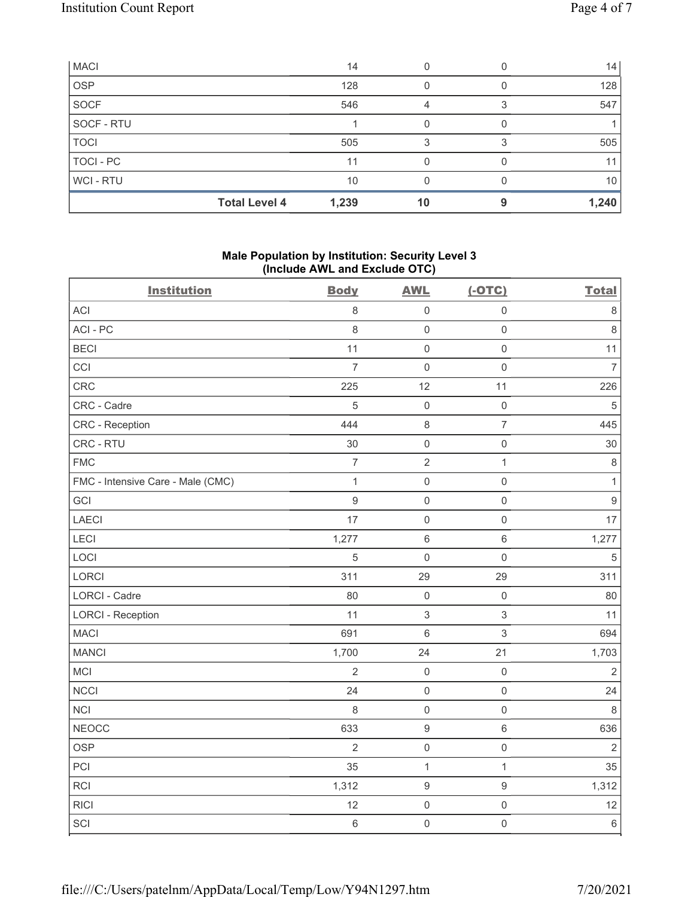| <b>MACI</b> |                      | 14    |    |   | 14    |
|-------------|----------------------|-------|----|---|-------|
| <b>OSP</b>  |                      | 128   |    |   | 128   |
| SOCF        |                      | 546   | 4  |   | 547   |
| SOCF - RTU  |                      |       |    |   |       |
| <b>TOCI</b> |                      | 505   |    |   | 505   |
| TOCI - PC   |                      | 11    |    |   | 11    |
| WCI - RTU   |                      | 10    |    |   | 10    |
|             | <b>Total Level 4</b> | 1,239 | 10 | a | 1,240 |

# Male Population by Institution: Security Level 3 (Include AWL and Exclude OTC)

| <b>Institution</b>                | <b>Body</b>      | <b>AWL</b>                | $(-OTC)$            | <b>Total</b>   |
|-----------------------------------|------------------|---------------------------|---------------------|----------------|
| <b>ACI</b>                        | 8                | $\mathbf 0$               | $\mathsf{O}\xspace$ | $\,8\,$        |
| ACI-PC                            | 8                | $\mathbf 0$               | $\mathsf{O}\xspace$ | $\,8\,$        |
| <b>BECI</b>                       | 11               | $\mathbf 0$               | $\mathsf{O}\xspace$ | 11             |
| CCI                               | $\overline{7}$   | $\mathbf 0$               | $\mathsf{O}\xspace$ | $\overline{7}$ |
| CRC                               | 225              | 12                        | 11                  | 226            |
| CRC - Cadre                       | 5                | $\mathbf 0$               | $\mathsf{O}\xspace$ | $\sqrt{5}$     |
| CRC - Reception                   | 444              | $\,8\,$                   | $\overline{7}$      | 445            |
| CRC - RTU                         | 30               | $\mathbf 0$               | $\mathsf 0$         | 30             |
| <b>FMC</b>                        | $\overline{7}$   | $\sqrt{2}$                | $\mathbf{1}$        | $\,8\,$        |
| FMC - Intensive Care - Male (CMC) | $\mathbf{1}$     | $\mathbf 0$               | $\mathsf{O}\xspace$ | $\mathbf{1}$   |
| GCI                               | $\boldsymbol{9}$ | $\mathbf 0$               | $\mathsf{O}\xspace$ | $\overline{9}$ |
| <b>LAECI</b>                      | 17               | $\mathbf 0$               | $\mathsf{O}\xspace$ | 17             |
| LECI                              | 1,277            | $\,6\,$                   | $\,6\,$             | 1,277          |
| LOCI                              | 5                | $\mathbf 0$               | $\mathsf 0$         | $\,$ 5 $\,$    |
| LORCI                             | 311              | 29                        | 29                  | 311            |
| LORCI - Cadre                     | 80               | $\mathbf 0$               | $\mathsf 0$         | 80             |
| <b>LORCI - Reception</b>          | 11               | $\ensuremath{\mathsf{3}}$ | $\sqrt{3}$          | 11             |
| <b>MACI</b>                       | 691              | $\,6\,$                   | $\,$ 3 $\,$         | 694            |
| <b>MANCI</b>                      | 1,700            | 24                        | 21                  | 1,703          |
| MCI                               | $\overline{2}$   | $\mathbf 0$               | $\mathsf 0$         | $\sqrt{2}$     |
| <b>NCCI</b>                       | 24               | $\mathbf 0$               | $\mathsf{O}\xspace$ | 24             |
| <b>NCI</b>                        | $\,8\,$          | $\mathbf 0$               | $\mathsf{O}\xspace$ | $\,8\,$        |
| <b>NEOCC</b>                      | 633              | $\boldsymbol{9}$          | $\,6\,$             | 636            |
| <b>OSP</b>                        | $\overline{2}$   | $\mathbf 0$               | $\mathsf{O}\xspace$ | $\overline{2}$ |
| PCI                               | 35               | $\mathbf{1}$              | $\mathbf{1}$        | 35             |
| <b>RCI</b>                        | 1,312            | $\boldsymbol{9}$          | $\boldsymbol{9}$    | 1,312          |
| <b>RICI</b>                       | 12               | $\mathbf 0$               | $\mathsf{O}\xspace$ | 12             |
| SCI                               | $\,6\,$          | $\mathbf 0$               | $\mathsf{O}\xspace$ | $\,6\,$        |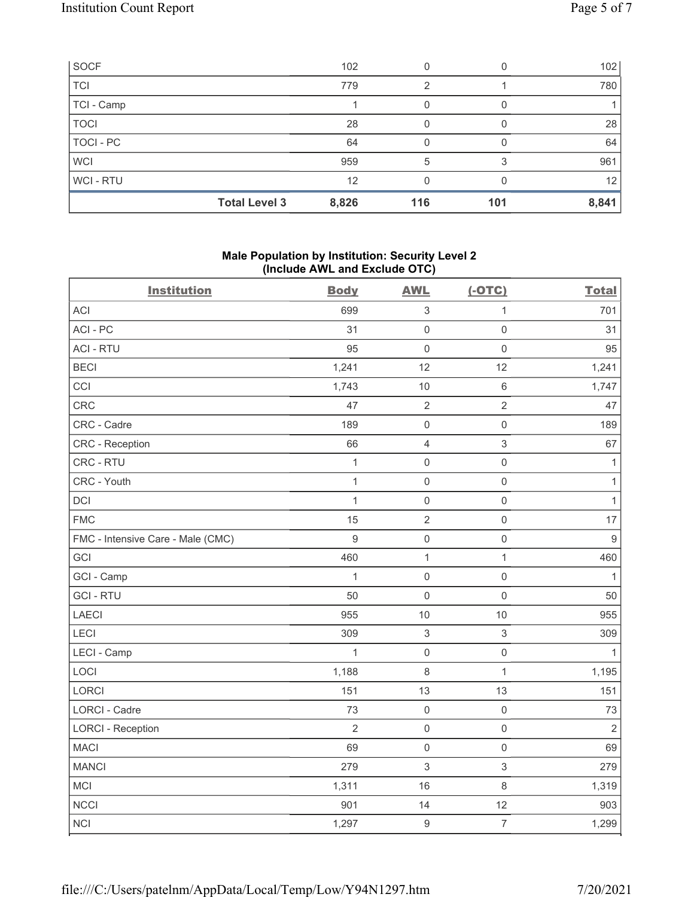| <b>SOCF</b>    |                      | 102   |     |     | 102               |
|----------------|----------------------|-------|-----|-----|-------------------|
| <b>TCI</b>     |                      | 779   | 2   |     | 780               |
| TCI - Camp     |                      |       |     |     |                   |
| <b>TOCI</b>    |                      | 28    |     |     | 28                |
| TOCI - PC      |                      | 64    |     |     | 64                |
| <b>WCI</b>     |                      | 959   | 5   |     | 961               |
| <b>WCI-RTU</b> |                      | 12    |     |     | $12 \overline{ }$ |
|                | <b>Total Level 3</b> | 8,826 | 116 | 101 | 8,841             |

## Male Population by Institution: Security Level 2 (Include AWL and Exclude OTC)

| <b>Institution</b>                | <b>Body</b>    | <b>AWL</b>                | $(-OTC)$                  | <b>Total</b>   |
|-----------------------------------|----------------|---------------------------|---------------------------|----------------|
| <b>ACI</b>                        | 699            | $\ensuremath{\mathsf{3}}$ | $\mathbf{1}$              | 701            |
| ACI-PC                            | 31             | $\mathsf 0$               | $\mathsf 0$               | 31             |
| <b>ACI - RTU</b>                  | 95             | $\mathsf 0$               | $\mathsf{O}\xspace$       | 95             |
| <b>BECI</b>                       | 1,241          | 12                        | 12                        | 1,241          |
| CCI                               | 1,743          | $10$                      | $\,6\,$                   | 1,747          |
| CRC                               | 47             | $\sqrt{2}$                | $\sqrt{2}$                | 47             |
| CRC - Cadre                       | 189            | $\mathsf 0$               | $\mathsf 0$               | 189            |
| <b>CRC</b> - Reception            | 66             | $\overline{4}$            | $\mathfrak{S}$            | 67             |
| CRC - RTU                         | $\mathbf{1}$   | $\mathsf{O}\xspace$       | $\mathsf 0$               | $\mathbf{1}$   |
| CRC - Youth                       | $\mathbf 1$    | $\mathsf 0$               | $\mathsf 0$               | $\mathbf{1}$   |
| <b>DCI</b>                        | $\mathbf{1}$   | $\mathbf 0$               | $\mathsf 0$               | $\mathbf{1}$   |
| <b>FMC</b>                        | 15             | $\overline{2}$            | $\mathsf{O}\xspace$       | 17             |
| FMC - Intensive Care - Male (CMC) | $\overline{9}$ | $\mathsf 0$               | $\mathsf{O}\xspace$       | $\overline{9}$ |
| GCI                               | 460            | $\mathbf{1}$              | $\mathbf{1}$              | 460            |
| GCI - Camp                        | $\mathbf{1}$   | $\mathsf 0$               | $\mathsf{O}\xspace$       | $\mathbf{1}$   |
| <b>GCI-RTU</b>                    | 50             | $\mathbf 0$               | $\mathbf 0$               | 50             |
| LAECI                             | 955            | 10                        | $10$                      | 955            |
| LECI                              | 309            | $\ensuremath{\mathsf{3}}$ | $\ensuremath{\mathsf{3}}$ | 309            |
| LECI - Camp                       | 1              | $\mathsf{O}\xspace$       | $\mathsf{O}\xspace$       | $\mathbf{1}$   |
| LOCI                              | 1,188          | $\,8\,$                   | $\mathbf{1}$              | 1,195          |
| LORCI                             | 151            | 13                        | 13                        | 151            |
| LORCI - Cadre                     | 73             | $\mathsf 0$               | $\mathsf{O}\xspace$       | 73             |
| <b>LORCI - Reception</b>          | $\overline{2}$ | $\mathsf 0$               | $\mathsf 0$               | $\overline{2}$ |
| <b>MACI</b>                       | 69             | $\mathbf 0$               | $\mathsf 0$               | 69             |
| <b>MANCI</b>                      | 279            | $\mathfrak{S}$            | $\mathfrak{S}$            | 279            |
| MCI                               | 1,311          | 16                        | $\,8\,$                   | 1,319          |
| <b>NCCI</b>                       | 901            | 14                        | 12                        | 903            |
| NCI                               | 1,297          | $\boldsymbol{9}$          | $\overline{7}$            | 1,299          |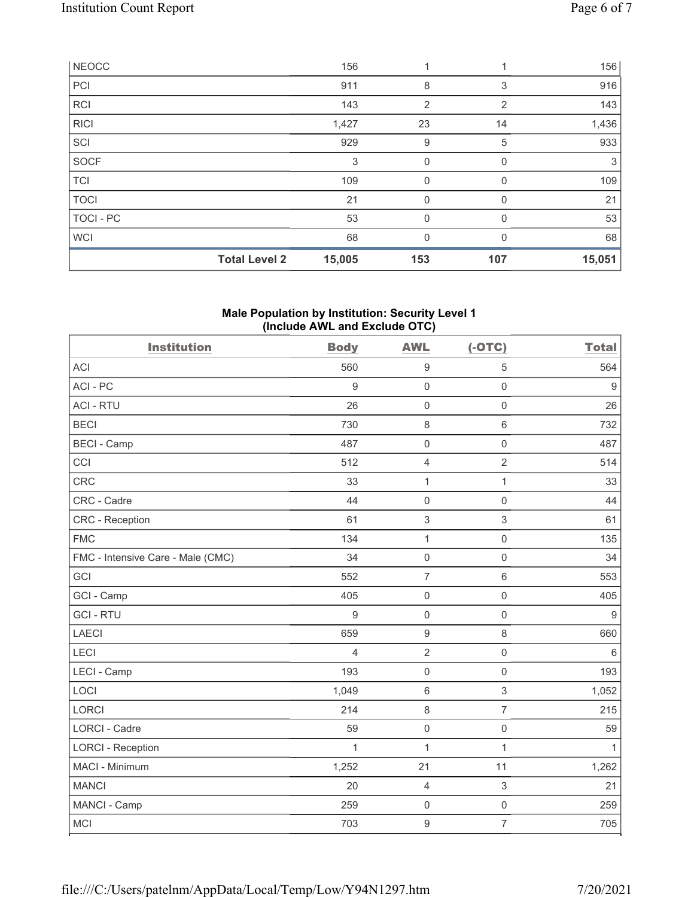|              | <b>Total Level 2</b> | 15,005 | 153            | 107      | 15,051 |
|--------------|----------------------|--------|----------------|----------|--------|
| <b>WCI</b>   |                      | 68     | $\mathbf 0$    | 0        | 68     |
| TOCI - PC    |                      | 53     | 0              | $\Omega$ | 53     |
| <b>TOCI</b>  |                      | 21     | 0              |          | 21     |
| <b>TCI</b>   |                      | 109    | $\mathbf 0$    | $\Omega$ | 109    |
| <b>SOCF</b>  |                      | 3      | $\mathbf 0$    | 0        | 3      |
| SCI          |                      | 929    | 9              | 5        | 933    |
| <b>RICI</b>  |                      | 1,427  | 23             | 14       | 1,436  |
| <b>RCI</b>   |                      | 143    | $\overline{2}$ | 2        | 143    |
| PCI          |                      | 911    | 8              | 3        | 916    |
| <b>NEOCC</b> |                      | 156    |                |          | 156    |

## Male Population by Institution: Security Level 1 (Include AWL and Exclude OTC)

| <b>Institution</b>                | <b>Body</b>      | <b>AWL</b>          | $(-OTC)$            | <b>Total</b>     |
|-----------------------------------|------------------|---------------------|---------------------|------------------|
| <b>ACI</b>                        | 560              | $\overline{9}$      | 5                   | 564              |
| ACI-PC                            | $\boldsymbol{9}$ | $\mathbf 0$         | $\mathbf 0$         | 9                |
| <b>ACI - RTU</b>                  | 26               | $\mathbf 0$         | $\mathsf{O}\xspace$ | 26               |
| <b>BECI</b>                       | 730              | $\,8\,$             | $6\,$               | 732              |
| <b>BECI - Camp</b>                | 487              | $\mathbf 0$         | $\mathsf{O}\xspace$ | 487              |
| CCI                               | 512              | $\overline{4}$      | $\overline{2}$      | 514              |
| <b>CRC</b>                        | 33               | $\mathbf{1}$        | $\mathbf{1}$        | 33               |
| CRC - Cadre                       | 44               | $\mathbf 0$         | $\mathsf{O}\xspace$ | 44               |
| <b>CRC</b> - Reception            | 61               | $\sqrt{3}$          | $\sqrt{3}$          | 61               |
| <b>FMC</b>                        | 134              | $\mathbf{1}$        | $\mathsf{O}\xspace$ | 135              |
| FMC - Intensive Care - Male (CMC) | 34               | $\mathsf{O}\xspace$ | $\mathsf 0$         | 34               |
| GCI                               | 552              | $\overline{7}$      | $6\,$               | 553              |
| GCI - Camp                        | 405              | $\mathsf{O}\xspace$ | $\mathsf 0$         | 405              |
| <b>GCI-RTU</b>                    | 9                | $\mathbf 0$         | $\mathsf{O}\xspace$ | $\boldsymbol{9}$ |
| <b>LAECI</b>                      | 659              | $\boldsymbol{9}$    | 8                   | 660              |
| LECI                              | $\overline{4}$   | $\overline{2}$      | $\mathsf{O}\xspace$ | $\,6\,$          |
| LECI - Camp                       | 193              | $\mathbf 0$         | $\mathsf{O}\xspace$ | 193              |
| LOCI                              | 1,049            | $\,6\,$             | $\mathfrak{S}$      | 1,052            |
| <b>LORCI</b>                      | 214              | 8                   | $\overline{7}$      | 215              |
| <b>LORCI - Cadre</b>              | 59               | $\mathsf{O}\xspace$ | $\mathsf 0$         | 59               |
| <b>LORCI - Reception</b>          | $\mathbf{1}$     | $\mathbf{1}$        | $\mathbf{1}$        | $\mathbf{1}$     |
| MACI - Minimum                    | 1,252            | 21                  | 11                  | 1,262            |
| <b>MANCI</b>                      | 20               | $\overline{4}$      | $\mathfrak{S}$      | 21               |
| MANCI - Camp                      | 259              | $\mathsf{O}\xspace$ | $\mathsf 0$         | 259              |
| <b>MCI</b>                        | 703              | $\boldsymbol{9}$    | $\overline{7}$      | 705              |